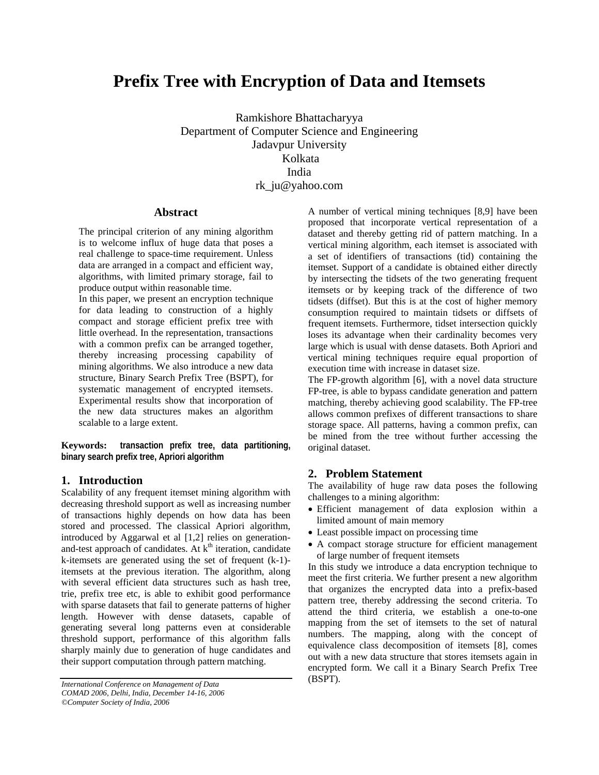# **Prefix Tree with Encryption of Data and Itemsets**

Ramkishore Bhattacharyya Department of Computer Science and Engineering Jadavpur University Kolkata India rk\_ju@yahoo.com

## **Abstract**

The principal criterion of any mining algorithm is to welcome influx of huge data that poses a real challenge to space-time requirement. Unless data are arranged in a compact and efficient way, algorithms, with limited primary storage, fail to produce output within reasonable time.

In this paper, we present an encryption technique for data leading to construction of a highly compact and storage efficient prefix tree with little overhead. In the representation, transactions with a common prefix can be arranged together, thereby increasing processing capability of mining algorithms. We also introduce a new data structure, Binary Search Prefix Tree (BSPT), for systematic management of encrypted itemsets. Experimental results show that incorporation of the new data structures makes an algorithm scalable to a large extent.

**Keywords: transaction prefix tree, data partitioning, binary search prefix tree, Apriori algorithm** 

# **1. Introduction**

Scalability of any frequent itemset mining algorithm with decreasing threshold support as well as increasing number of transactions highly depends on how data has been stored and processed. The classical Apriori algorithm, introduced by Aggarwal et al [1,2] relies on generationand-test approach of candidates. At  $k<sup>th</sup>$  iteration, candidate k-itemsets are generated using the set of frequent (k-1) itemsets at the previous iteration. The algorithm, along with several efficient data structures such as hash tree, trie, prefix tree etc, is able to exhibit good performance with sparse datasets that fail to generate patterns of higher length. However with dense datasets, capable of generating several long patterns even at considerable threshold support, performance of this algorithm falls sharply mainly due to generation of huge candidates and their support computation through pattern matching.

A number of vertical mining techniques [8,9] have been proposed that incorporate vertical representation of a dataset and thereby getting rid of pattern matching. In a vertical mining algorithm, each itemset is associated with a set of identifiers of transactions (tid) containing the itemset. Support of a candidate is obtained either directly by intersecting the tidsets of the two generating frequent itemsets or by keeping track of the difference of two tidsets (diffset). But this is at the cost of higher memory consumption required to maintain tidsets or diffsets of frequent itemsets. Furthermore, tidset intersection quickly loses its advantage when their cardinality becomes very large which is usual with dense datasets. Both Apriori and vertical mining techniques require equal proportion of execution time with increase in dataset size.

The FP-growth algorithm [6], with a novel data structure FP-tree, is able to bypass candidate generation and pattern matching, thereby achieving good scalability. The FP-tree allows common prefixes of different transactions to share storage space. All patterns, having a common prefix, can be mined from the tree without further accessing the original dataset.

# **2. Problem Statement**

The availability of huge raw data poses the following challenges to a mining algorithm:

- Efficient management of data explosion within a limited amount of main memory
- Least possible impact on processing time
- A compact storage structure for efficient management of large number of frequent itemsets

In this study we introduce a data encryption technique to meet the first criteria. We further present a new algorithm that organizes the encrypted data into a prefix-based pattern tree, thereby addressing the second criteria. To attend the third criteria, we establish a one-to-one mapping from the set of itemsets to the set of natural numbers. The mapping, along with the concept of equivalence class decomposition of itemsets [8], comes out with a new data structure that stores itemsets again in encrypted form. We call it a Binary Search Prefix Tree

<sup>(</sup>BSPT). *International Conference on Management of Data COMAD 2006, Delhi, India, December 14-16, 2006 ©Computer Society of India, 2006*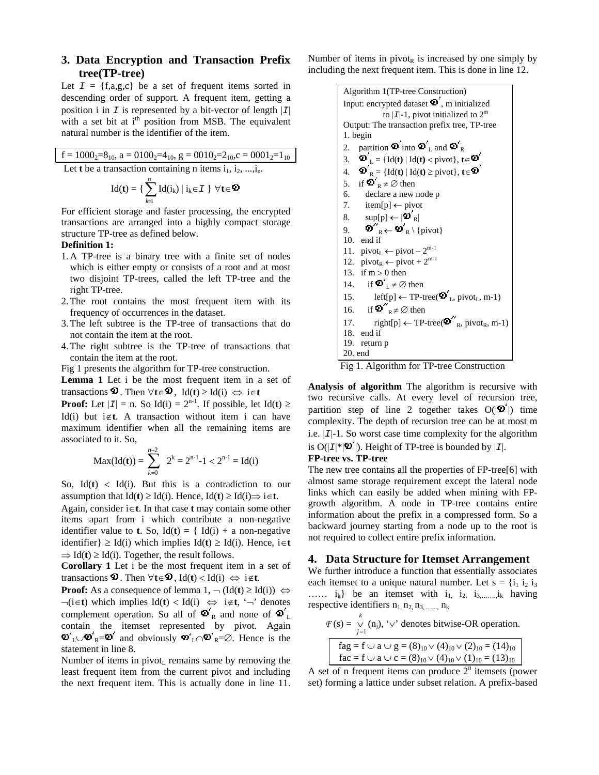# **3. Data Encryption and Transaction Prefix tree(TP-tree)**

Let  $I = \{f, a, g, c\}$  be a set of frequent items sorted in descending order of support. A frequent item, getting a position i in  $I$  is represented by a bit-vector of length  $|I|$ with a set bit at  $i<sup>th</sup>$  position from MSB. The equivalent natural number is the identifier of the item.

$$
f = 1000_2 = 8_{10}
$$
, a = 0100<sub>2</sub>=4<sub>10</sub>, g = 0010<sub>2</sub>=2<sub>10</sub>, c = 0001<sub>2</sub>=1<sub>10</sub>  
Let **t** be a transaction containing n items i<sub>1</sub>, i<sub>2</sub>, ..., i<sub>n</sub>.

$$
Id(\boldsymbol{t}) = \{\,\sum_{k\!=\!1}^n Id(i_k) \mid i_k\!\in\!\mathcal{I}\,\,\}\,\,\forall \boldsymbol{t}\!\in\!\boldsymbol{\mathfrak{D}}
$$

For efficient storage and faster processing, the encrypted transactions are arranged into a highly compact storage structure TP-tree as defined below.

## **Definition 1:**

- 1. A TP-tree is a binary tree with a finite set of nodes which is either empty or consists of a root and at most two disjoint TP-trees, called the left TP-tree and the right TP-tree.
- 2.The root contains the most frequent item with its frequency of occurrences in the dataset.
- 3.The left subtree is the TP-tree of transactions that do not contain the item at the root.
- 4.The right subtree is the TP-tree of transactions that contain the item at the root.

Fig 1 presents the algorithm for TP-tree construction.

**Lemma 1** Let i be the most frequent item in a set of transactions  $\Phi$ . Then  $\forall t \in \Phi$ , Id(**t**) ≥ Id(**i**)  $\Leftrightarrow$  **i**∈**t** 

**Proof:** Let  $|I| = n$ . So Id(i) =  $2^{n-1}$ . If possible, let Id(**t**) ≥ Id(i) but i∉**t**. A transaction without item i can have maximum identifier when all the remaining items are associated to it. So,

$$
Max(Id(t)) = \sum_{k=0}^{n-2} 2^k = 2^{n-1} - 1 < 2^{n-1} = Id(i)
$$

So,  $Id(t)$  <  $Id(i)$ . But this is a contradiction to our assumption that  $Id(t) \geq Id(i)$ . Hence,  $Id(t) \geq Id(i) \Rightarrow i \in \mathbf{t}$ .

Again, consider i∈**t**. In that case **t** may contain some other items apart from i which contribute a non-negative identifier value to **t**. So,  $Id(t) = \{ Id(i) + a \text{ non-negative} \}$ identifier} ≥ Id(i) which implies Id(**t**) ≥ Id(i). Hence, i∈**t**   $\Rightarrow$  Id(**t**)  $\geq$  Id(**i**). Together, the result follows.

**Corollary 1** Let i be the most frequent item in a set of transactions  $\Phi$ . Then  $\forall t \in \Phi$ , Id(**t**) < Id(**i**)  $\Leftrightarrow$  i∉**t**.

**Proof:** As a consequence of lemma  $1, \neg (\text{Id}(\mathbf{t}) \geq \text{Id}(\mathbf{i})) \Leftrightarrow$ ¬(i∈**t**) which implies Id(**t**) < Id(i) ⇔ i∉**t**, '¬' denotes complement operation. So all of  $\mathbf{\Phi}_{R}^{r}$  and none of  $\mathbf{\Phi}_{L}^{r}$ contain the itemset represented by pivot. Again  $L \cup \mathbf{D}_R = \mathbf{D}'$  and obviously  $\mathbf{D}_L' \cap \mathbf{D}_R = \emptyset$ . Hence is the statement in line 8.

Number of items in pivot<sub>L</sub> remains same by removing the least frequent item from the current pivot and including the next frequent item. This is actually done in line 11. Number of items in pivot<sub>R</sub> is increased by one simply by including the next frequent item. This is done in line 12.

| Algorithm 1(TP-tree Construction)                                                                                                                          |  |  |  |  |  |
|------------------------------------------------------------------------------------------------------------------------------------------------------------|--|--|--|--|--|
| Input: encrypted dataset $\boldsymbol{\Phi}'$ , m initialized                                                                                              |  |  |  |  |  |
| to $ I -1$ , pivot initialized to $2^m$                                                                                                                    |  |  |  |  |  |
| Output: The transaction prefix tree, TP-tree                                                                                                               |  |  |  |  |  |
| 1. begin                                                                                                                                                   |  |  |  |  |  |
| partition $\boldsymbol{\mathcal{D}}'$ into $\boldsymbol{\mathcal{D}}'$ <sub>L</sub> and $\boldsymbol{\mathcal{D}}'$ <sub>R</sub><br>2.                     |  |  |  |  |  |
| 3. $\mathbf{\Phi}'_L = \{ \text{Id}(\mathbf{t}) \mid \text{Id}(\mathbf{t}) < \text{pivot} \}, \mathbf{t} \in \mathbf{\Phi}'$                               |  |  |  |  |  |
| 4. $\mathbf{\Phi}_{\mathbf{R}}^{\prime} = \{ \text{Id}(\mathbf{t}) \mid \text{Id}(\mathbf{t}) \geq \text{pivot} \}, \mathbf{t} \in \mathbf{\Phi}^{\prime}$ |  |  |  |  |  |
| 5. if $\mathbf{D}'_{R} \neq \emptyset$ then                                                                                                                |  |  |  |  |  |
| 6.<br>declare a new node p                                                                                                                                 |  |  |  |  |  |
| 7.<br>$item[p] \leftarrow pivot$                                                                                                                           |  |  |  |  |  |
| $sup[p] \leftarrow  \mathbf{D'}_R $<br>8.                                                                                                                  |  |  |  |  |  |
| $\boldsymbol{\Phi}''$ <sub>R</sub> $\leftarrow$ $\boldsymbol{\Phi}'$ <sub>R</sub> $\setminus$ {pivot}<br>9.                                                |  |  |  |  |  |
| 10.<br>end if                                                                                                                                              |  |  |  |  |  |
| 11. $pivot_L \leftarrow pivot - 2^{m-1}$                                                                                                                   |  |  |  |  |  |
| 12. $\text{pivot}_R \leftarrow \text{pivot} + 2^{m-1}$                                                                                                     |  |  |  |  |  |
| 13. if $m > 0$ then                                                                                                                                        |  |  |  |  |  |
| if $\mathbf{D}'_1 \neq \emptyset$ then<br>14.                                                                                                              |  |  |  |  |  |
| left[p] $\leftarrow$ TP-tree( $\mathbf{\Phi}_{\text{L}}^{\prime}$ , pivot <sub>L</sub> , m-1)<br>15.                                                       |  |  |  |  |  |
| if $\mathbf{D}''$ $\mathbf{p} \neq \emptyset$ then<br>16.                                                                                                  |  |  |  |  |  |
| right[p] $\leftarrow$ TP-tree( $\boldsymbol{\Phi}''_{R}$ , pivot <sub>R</sub> , m-1)<br>17.                                                                |  |  |  |  |  |
| 18. end if                                                                                                                                                 |  |  |  |  |  |
| 19. return p                                                                                                                                               |  |  |  |  |  |
| 20. end                                                                                                                                                    |  |  |  |  |  |

Fig 1. Algorithm for TP-tree Construction

**Analysis of algorithm** The algorithm is recursive with two recursive calls. At every level of recursion tree, partition step of line 2 together takes  $O(|\mathbf{D}'|)$  time complexity. The depth of recursion tree can be at most m i.e. |*I*|-1. So worst case time complexity for the algorithm is  $O(|\mathcal{I}|^*|\mathbf{D}'|)$ . Height of TP-tree is bounded by  $|\mathcal{I}|$ .

#### **FP-tree vs. TP-tree**

The new tree contains all the properties of FP-tree[6] with almost same storage requirement except the lateral node links which can easily be added when mining with FPgrowth algorithm. A node in TP-tree contains entire information about the prefix in a compressed form. So a backward journey starting from a node up to the root is not required to collect entire prefix information.

## **4. Data Structure for Itemset Arrangement**

We further introduce a function that essentially associates each itemset to a unique natural number. Let  $s = \{i_1, i_2, i_3\}$  $..., i_k$  be an itemset with  $i_1$ ,  $i_2$ ,  $i_3,...,i_k$  having respective identifiers  $n_1, n_2, n_3, \dots, n_k$ 

$$
\mathcal{F}(s) = \bigvee_{j=1}^{k} (n_j), \, \forall \check{ } \text{ denotes bitwise-OR operation.}
$$
\n
$$
\begin{array}{|l|l|} \hline \text{fag} = f \cup a \cup g = (8)_{10} \vee (4)_{10} \vee (2)_{10} = (14)_{10} \\ \hline \text{fac} = f \cup a \cup c = (8)_{10} \vee (4)_{10} \vee (1)_{10} = (13)_{10} \end{array}
$$

A set of n frequent items can produce  $2<sup>n</sup>$  itemsets (power set) forming a lattice under subset relation. A prefix-based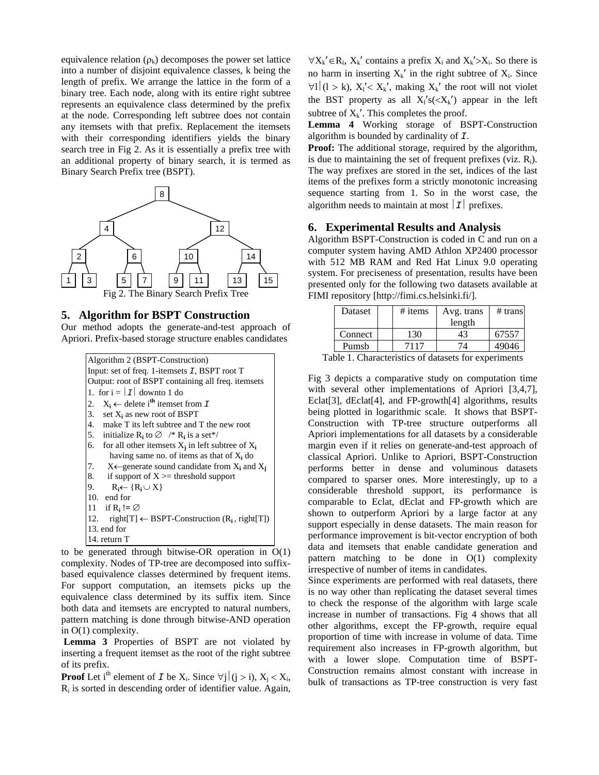equivalence relation  $(\rho_k)$  decomposes the power set lattice into a number of disjoint equivalence classes, k being the length of prefix. We arrange the lattice in the form of a binary tree. Each node, along with its entire right subtree represents an equivalence class determined by the prefix at the node. Corresponding left subtree does not contain any itemsets with that prefix. Replacement the itemsets with their corresponding identifiers yields the binary search tree in Fig 2. As it is essentially a prefix tree with an additional property of binary search, it is termed as Binary Search Prefix tree (BSPT).



### **5. Algorithm for BSPT Construction**

Our method adopts the generate-and-test approach of Apriori. Prefix-based storage structure enables candidates

| Algorithm 2 (BSPT-Construction)                                         |  |  |  |  |  |
|-------------------------------------------------------------------------|--|--|--|--|--|
| Input: set of freq. 1-itemsets <i>I</i> , BSPT root T                   |  |  |  |  |  |
| Output: root of BSPT containing all freq. itemsets                      |  |  |  |  |  |
| 1. for $i =  I $ downto 1 do                                            |  |  |  |  |  |
| $X_i \leftarrow$ delete i <sup>th</sup> itemset from <i>I</i><br>2.     |  |  |  |  |  |
| 3.<br>set $X_i$ as new root of BSPT                                     |  |  |  |  |  |
| 4. make T its left subtree and T the new root                           |  |  |  |  |  |
| 5. initialize $R_i$ to $\varnothing$ /* $R_i$ is a set*/                |  |  |  |  |  |
| for all other itemsets $X_i$ in left subtree of $X_i$<br>6.             |  |  |  |  |  |
| having same no. of items as that of $X_i$ do                            |  |  |  |  |  |
| $X \leftarrow$ generate sound candidate from $X_i$ and $X_j$<br>7.      |  |  |  |  |  |
| 8.<br>if support of $X \geq$ threshold support                          |  |  |  |  |  |
| 9.<br>$R_i \leftarrow \{R_i \cup X\}$                                   |  |  |  |  |  |
| 10. end for                                                             |  |  |  |  |  |
| 11 if $R_i := \emptyset$                                                |  |  |  |  |  |
| 12. right[T] $\leftarrow$ BSPT-Construction (R <sub>i</sub> , right[T]) |  |  |  |  |  |
| 13, end for                                                             |  |  |  |  |  |
| 14. return T                                                            |  |  |  |  |  |

to be generated through bitwise-OR operation in O(1) complexity. Nodes of TP-tree are decomposed into suffixbased equivalence classes determined by frequent items. For support computation, an itemsets picks up the equivalence class determined by its suffix item. Since both data and itemsets are encrypted to natural numbers, pattern matching is done through bitwise-AND operation in O(1) complexity.

**Lemma 3** Properties of BSPT are not violated by inserting a frequent itemset as the root of the right subtree of its prefix.

**Proof** Let i<sup>th</sup> element of *I* be X<sub>i</sub>. Since  $\forall j | (j > i)$ , X<sub>i</sub> < X<sub>i</sub>,  $R_i$  is sorted in descending order of identifier value. Again,

 $\forall X_k' \in R_i$ ,  $X_k'$  contains a prefix  $X_i$  and  $X_k' > X_i$ . So there is no harm in inserting  $X_k'$  in the right subtree of  $X_i$ . Since  $\forall l | (l > k), X'_{l} < X_{k}$ <sup>'</sup>, making  $X_{k}$ <sup>'</sup> the root will not violet the BST property as all  $X_i's \ll X_k'$  appear in the left subtree of  $X_k'$ . This completes the proof.

**Lemma 4** Working storage of BSPT-Construction algorithm is bounded by cardinality of *I*.

**Proof:** The additional storage, required by the algorithm, is due to maintaining the set of frequent prefixes (viz.  $R_i$ ). The way prefixes are stored in the set, indices of the last items of the prefixes form a strictly monotonic increasing sequence starting from 1. So in the worst case, the algorithm needs to maintain at most  $|I|$  prefixes.

## **6. Experimental Results and Analysis**

Algorithm BSPT-Construction is coded in C and run on a computer system having AMD Athlon XP2400 processor with 512 MB RAM and Red Hat Linux 9.0 operating system. For preciseness of presentation, results have been presented only for the following two datasets available at FIMI repository [http://fimi.cs.helsinki.fi/].

| <b>Dataset</b> | $#$ items | Avg. trans | $#$ trans |
|----------------|-----------|------------|-----------|
|                |           | length     |           |
| Connect        | 130       | 43         | 67557     |
| Pumsb          | 7117      |            | 49046     |

Table 1. Characteristics of datasets for experiments

Fig 3 depicts a comparative study on computation time with several other implementations of Apriori [3,4,7], Eclat[3], dEclat[4], and FP-growth[4] algorithms, results being plotted in logarithmic scale. It shows that BSPT-Construction with TP-tree structure outperforms all Apriori implementations for all datasets by a considerable margin even if it relies on generate-and-test approach of classical Apriori. Unlike to Apriori, BSPT-Construction performs better in dense and voluminous datasets compared to sparser ones. More interestingly, up to a considerable threshold support, its performance is comparable to Eclat, dEclat and FP-growth which are shown to outperform Apriori by a large factor at any support especially in dense datasets. The main reason for performance improvement is bit-vector encryption of both data and itemsets that enable candidate generation and pattern matching to be done in O(1) complexity irrespective of number of items in candidates.

Since experiments are performed with real datasets, there is no way other than replicating the dataset several times to check the response of the algorithm with large scale increase in number of transactions. Fig 4 shows that all other algorithms, except the FP-growth, require equal proportion of time with increase in volume of data. Time requirement also increases in FP-growth algorithm, but with a lower slope. Computation time of BSPT-Construction remains almost constant with increase in bulk of transactions as TP-tree construction is very fast